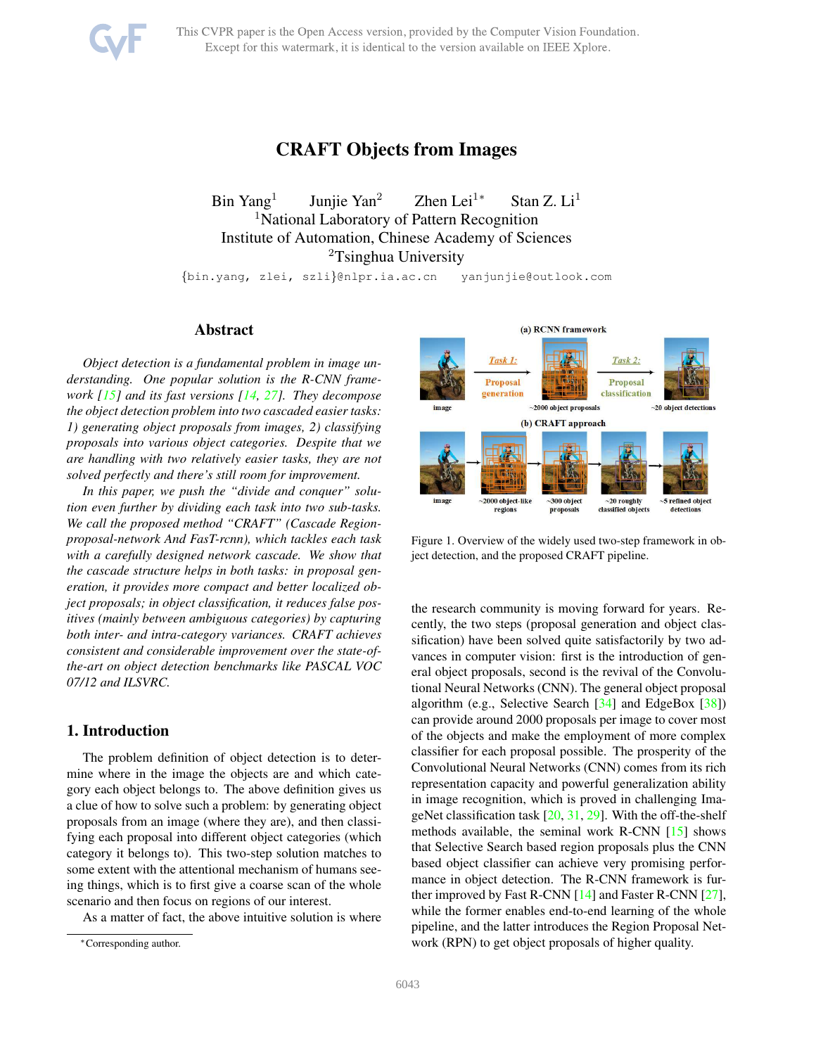<span id="page-0-1"></span>

This CVPR paper is the Open Access version, provided by the Computer Vision Foundation. Except for this watermark, it is identical to the version available on IEEE Xplore.

# CRAFT Objects from Images

Bin Yang<sup>1</sup> Juniie Yan<sup>2</sup> Zhen Lei<sup>1∗</sup> Stan Z. Li<sup>1</sup> <sup>1</sup>National Laboratory of Pattern Recognition Institute of Automation, Chinese Academy of Sciences <sup>2</sup>Tsinghua University

{bin.yang, zlei, szli}@nlpr.ia.ac.cn yanjunjie@outlook.com

## Abstract

*Object detection is a fundamental problem in image understanding. One popular solution is the R-CNN framework [\[15\]](#page-8-0) and its fast versions [\[14,](#page-8-1) [27\]](#page-8-2). They decompose the object detection problem into two cascaded easier tasks: 1) generating object proposals from images, 2) classifying proposals into various object categories. Despite that we are handling with two relatively easier tasks, they are not solved perfectly and there's still room for improvement.*

*In this paper, we push the "divide and conquer" solution even further by dividing each task into two sub-tasks. We call the proposed method "CRAFT" (Cascade Regionproposal-network And FasT-rcnn), which tackles each task with a carefully designed network cascade. We show that the cascade structure helps in both tasks: in proposal generation, it provides more compact and better localized object proposals; in object classification, it reduces false positives (mainly between ambiguous categories) by capturing both inter- and intra-category variances. CRAFT achieves consistent and considerable improvement over the state-ofthe-art on object detection benchmarks like PASCAL VOC 07/12 and ILSVRC.*

# 1. Introduction

The problem definition of object detection is to determine where in the image the objects are and which category each object belongs to. The above definition gives us a clue of how to solve such a problem: by generating object proposals from an image (where they are), and then classifying each proposal into different object categories (which category it belongs to). This two-step solution matches to some extent with the attentional mechanism of humans seeing things, which is to first give a coarse scan of the whole scenario and then focus on regions of our interest.

As a matter of fact, the above intuitive solution is where



<span id="page-0-0"></span>Figure 1. Overview of the widely used two-step framework in object detection, and the proposed CRAFT pipeline.

the research community is moving forward for years. Recently, the two steps (proposal generation and object classification) have been solved quite satisfactorily by two advances in computer vision: first is the introduction of general object proposals, second is the revival of the Convolutional Neural Networks (CNN). The general object proposal algorithm (e.g., Selective Search [\[34\]](#page-8-3) and EdgeBox [\[38\]](#page-8-4)) can provide around 2000 proposals per image to cover most of the objects and make the employment of more complex classifier for each proposal possible. The prosperity of the Convolutional Neural Networks (CNN) comes from its rich representation capacity and powerful generalization ability in image recognition, which is proved in challenging ImageNet classification task  $[20, 31, 29]$  $[20, 31, 29]$  $[20, 31, 29]$  $[20, 31, 29]$ . With the off-the-shelf methods available, the seminal work R-CNN [\[15\]](#page-8-0) shows that Selective Search based region proposals plus the CNN based object classifier can achieve very promising performance in object detection. The R-CNN framework is further improved by Fast R-CNN [\[14\]](#page-8-1) and Faster R-CNN [\[27\]](#page-8-2), while the former enables end-to-end learning of the whole pipeline, and the latter introduces the Region Proposal Network (RPN) to get object proposals of higher quality.

<sup>∗</sup>Corresponding author.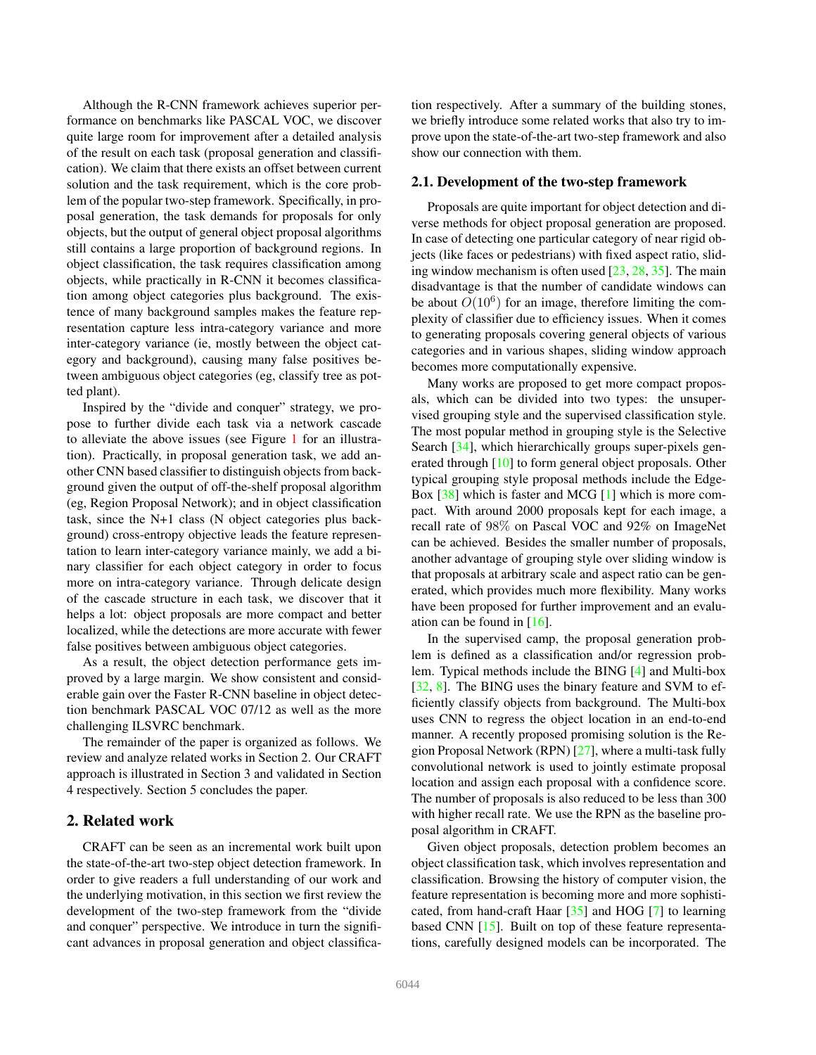<span id="page-1-0"></span>Although the R-CNN framework achieves superior performance on benchmarks like PASCAL VOC, we discover quite large room for improvement after a detailed analysis of the result on each task (proposal generation and classification). We claim that there exists an offset between current solution and the task requirement, which is the core problem of the popular two-step framework. Specifically, in proposal generation, the task demands for proposals for only objects, but the output of general object proposal algorithms still contains a large proportion of background regions. In object classification, the task requires classification among objects, while practically in R-CNN it becomes classification among object categories plus background. The existence of many background samples makes the feature representation capture less intra-category variance and more inter-category variance (ie, mostly between the object category and background), causing many false positives between ambiguous object categories (eg, classify tree as potted plant).

Inspired by the "divide and conquer" strategy, we propose to further divide each task via a network cascade to alleviate the above issues (see Figure [1](#page-0-0) for an illustration). Practically, in proposal generation task, we add another CNN based classifier to distinguish objects from background given the output of off-the-shelf proposal algorithm (eg, Region Proposal Network); and in object classification task, since the N+1 class (N object categories plus background) cross-entropy objective leads the feature representation to learn inter-category variance mainly, we add a binary classifier for each object category in order to focus more on intra-category variance. Through delicate design of the cascade structure in each task, we discover that it helps a lot: object proposals are more compact and better localized, while the detections are more accurate with fewer false positives between ambiguous object categories.

As a result, the object detection performance gets improved by a large margin. We show consistent and considerable gain over the Faster R-CNN baseline in object detection benchmark PASCAL VOC 07/12 as well as the more challenging ILSVRC benchmark.

The remainder of the paper is organized as follows. We review and analyze related works in Section 2. Our CRAFT approach is illustrated in Section 3 and validated in Section 4 respectively. Section 5 concludes the paper.

## 2. Related work

CRAFT can be seen as an incremental work built upon the state-of-the-art two-step object detection framework. In order to give readers a full understanding of our work and the underlying motivation, in this section we first review the development of the two-step framework from the "divide and conquer" perspective. We introduce in turn the significant advances in proposal generation and object classification respectively. After a summary of the building stones, we briefly introduce some related works that also try to improve upon the state-of-the-art two-step framework and also show our connection with them.

#### 2.1. Development of the two-step framework

Proposals are quite important for object detection and diverse methods for object proposal generation are proposed. In case of detecting one particular category of near rigid objects (like faces or pedestrians) with fixed aspect ratio, sliding window mechanism is often used  $[23, 28, 35]$  $[23, 28, 35]$  $[23, 28, 35]$  $[23, 28, 35]$ . The main disadvantage is that the number of candidate windows can be about  $O(10^6)$  for an image, therefore limiting the complexity of classifier due to efficiency issues. When it comes to generating proposals covering general objects of various categories and in various shapes, sliding window approach becomes more computationally expensive.

Many works are proposed to get more compact proposals, which can be divided into two types: the unsupervised grouping style and the supervised classification style. The most popular method in grouping style is the Selective Search [\[34\]](#page-8-3), which hierarchically groups super-pixels generated through [\[10\]](#page-8-11) to form general object proposals. Other typical grouping style proposal methods include the Edge-Box  $[38]$  which is faster and MCG  $[1]$  which is more compact. With around 2000 proposals kept for each image, a recall rate of 98% on Pascal VOC and 92% on ImageNet can be achieved. Besides the smaller number of proposals, another advantage of grouping style over sliding window is that proposals at arbitrary scale and aspect ratio can be generated, which provides much more flexibility. Many works have been proposed for further improvement and an evaluation can be found in [\[16\]](#page-8-12).

In the supervised camp, the proposal generation problem is defined as a classification and/or regression problem. Typical methods include the BING [\[4\]](#page-8-13) and Multi-box [\[32,](#page-8-14) [8\]](#page-8-15). The BING uses the binary feature and SVM to efficiently classify objects from background. The Multi-box uses CNN to regress the object location in an end-to-end manner. A recently proposed promising solution is the Region Proposal Network (RPN) [\[27\]](#page-8-2), where a multi-task fully convolutional network is used to jointly estimate proposal location and assign each proposal with a confidence score. The number of proposals is also reduced to be less than 300 with higher recall rate. We use the RPN as the baseline proposal algorithm in CRAFT.

Given object proposals, detection problem becomes an object classification task, which involves representation and classification. Browsing the history of computer vision, the feature representation is becoming more and more sophisticated, from hand-craft Haar [\[35\]](#page-8-10) and HOG [\[7\]](#page-8-16) to learning based CNN [\[15\]](#page-8-0). Built on top of these feature representations, carefully designed models can be incorporated. The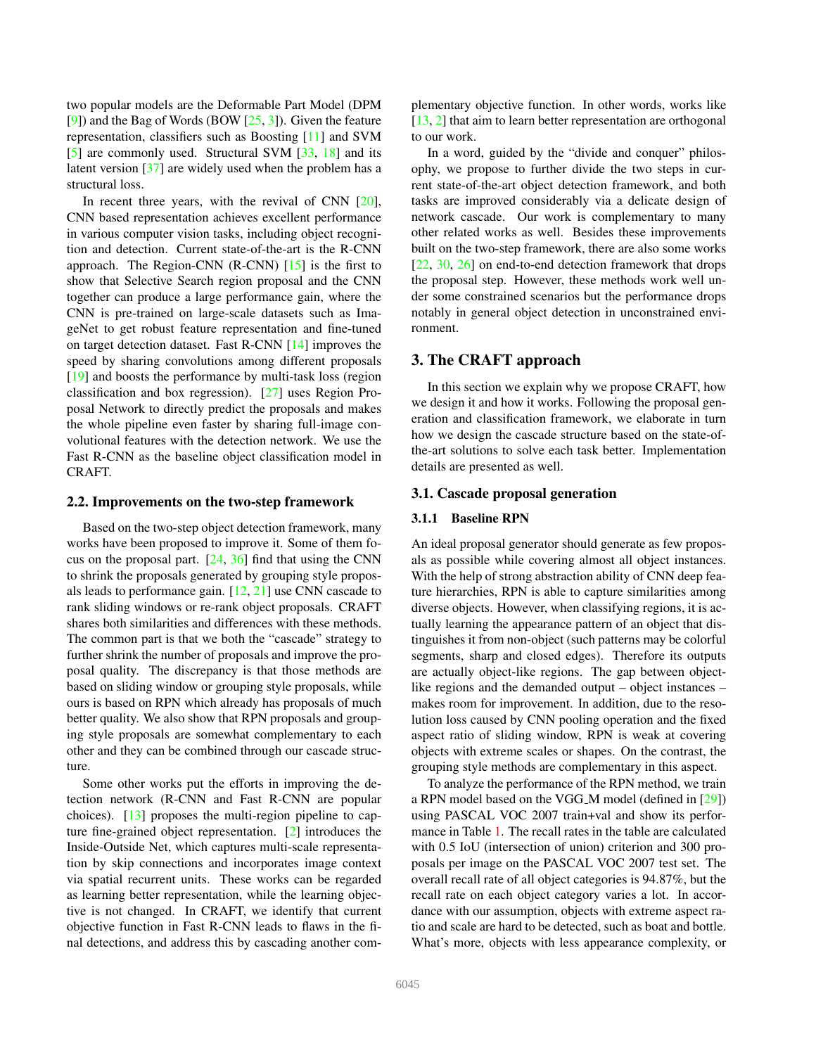<span id="page-2-0"></span>two popular models are the Deformable Part Model (DPM [\[9\]](#page-8-17)) and the Bag of Words (BOW  $[25, 3]$  $[25, 3]$  $[25, 3]$ ). Given the feature representation, classifiers such as Boosting [\[11\]](#page-8-20) and SVM [\[5\]](#page-8-21) are commonly used. Structural SVM [\[33,](#page-8-22) [18\]](#page-8-23) and its latent version [\[37\]](#page-8-24) are widely used when the problem has a structural loss.

In recent three years, with the revival of CNN [\[20\]](#page-8-5), CNN based representation achieves excellent performance in various computer vision tasks, including object recognition and detection. Current state-of-the-art is the R-CNN approach. The Region-CNN  $(R\text{-CNN})$  [\[15\]](#page-8-0) is the first to show that Selective Search region proposal and the CNN together can produce a large performance gain, where the CNN is pre-trained on large-scale datasets such as ImageNet to get robust feature representation and fine-tuned on target detection dataset. Fast R-CNN [\[14\]](#page-8-1) improves the speed by sharing convolutions among different proposals [\[19\]](#page-8-25) and boosts the performance by multi-task loss (region classification and box regression). [\[27\]](#page-8-2) uses Region Proposal Network to directly predict the proposals and makes the whole pipeline even faster by sharing full-image convolutional features with the detection network. We use the Fast R-CNN as the baseline object classification model in CRAFT.

#### 2.2. Improvements on the two-step framework

Based on the two-step object detection framework, many works have been proposed to improve it. Some of them focus on the proposal part.  $[24, 36]$  $[24, 36]$  $[24, 36]$  find that using the CNN to shrink the proposals generated by grouping style proposals leads to performance gain. [\[12,](#page-8-28) [21\]](#page-8-29) use CNN cascade to rank sliding windows or re-rank object proposals. CRAFT shares both similarities and differences with these methods. The common part is that we both the "cascade" strategy to further shrink the number of proposals and improve the proposal quality. The discrepancy is that those methods are based on sliding window or grouping style proposals, while ours is based on RPN which already has proposals of much better quality. We also show that RPN proposals and grouping style proposals are somewhat complementary to each other and they can be combined through our cascade structure.

Some other works put the efforts in improving the detection network (R-CNN and Fast R-CNN are popular choices). [\[13\]](#page-8-30) proposes the multi-region pipeline to capture fine-grained object representation. [\[2\]](#page-7-1) introduces the Inside-Outside Net, which captures multi-scale representation by skip connections and incorporates image context via spatial recurrent units. These works can be regarded as learning better representation, while the learning objective is not changed. In CRAFT, we identify that current objective function in Fast R-CNN leads to flaws in the final detections, and address this by cascading another complementary objective function. In other words, works like [\[13,](#page-8-30) [2\]](#page-7-1) that aim to learn better representation are orthogonal to our work.

In a word, guided by the "divide and conquer" philosophy, we propose to further divide the two steps in current state-of-the-art object detection framework, and both tasks are improved considerably via a delicate design of network cascade. Our work is complementary to many other related works as well. Besides these improvements built on the two-step framework, there are also some works [\[22,](#page-8-31) [30,](#page-8-32) [26\]](#page-8-33) on end-to-end detection framework that drops the proposal step. However, these methods work well under some constrained scenarios but the performance drops notably in general object detection in unconstrained environment.

# 3. The CRAFT approach

In this section we explain why we propose CRAFT, how we design it and how it works. Following the proposal generation and classification framework, we elaborate in turn how we design the cascade structure based on the state-ofthe-art solutions to solve each task better. Implementation details are presented as well.

#### 3.1. Cascade proposal generation

#### 3.1.1 Baseline RPN

An ideal proposal generator should generate as few proposals as possible while covering almost all object instances. With the help of strong abstraction ability of CNN deep feature hierarchies, RPN is able to capture similarities among diverse objects. However, when classifying regions, it is actually learning the appearance pattern of an object that distinguishes it from non-object (such patterns may be colorful segments, sharp and closed edges). Therefore its outputs are actually object-like regions. The gap between objectlike regions and the demanded output – object instances – makes room for improvement. In addition, due to the resolution loss caused by CNN pooling operation and the fixed aspect ratio of sliding window, RPN is weak at covering objects with extreme scales or shapes. On the contrast, the grouping style methods are complementary in this aspect.

To analyze the performance of the RPN method, we train a RPN model based on the VGG\_M model (defined in [\[29\]](#page-8-7)) using PASCAL VOC 2007 train+val and show its performance in Table [1.](#page-3-0) The recall rates in the table are calculated with  $0.5$  IoU (intersection of union) criterion and 300 proposals per image on the PASCAL VOC 2007 test set. The overall recall rate of all object categories is 94.87%, but the recall rate on each object category varies a lot. In accordance with our assumption, objects with extreme aspect ratio and scale are hard to be detected, such as boat and bottle. What's more, objects with less appearance complexity, or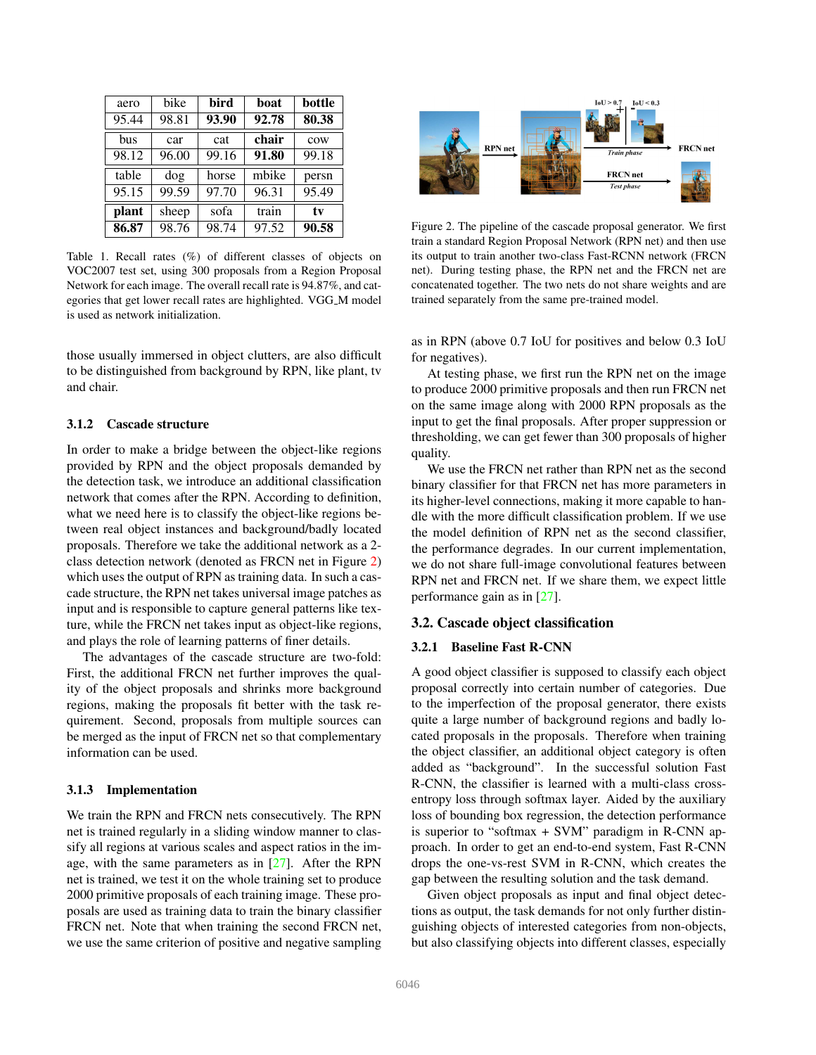<span id="page-3-2"></span>

| aero  | bike  | bird  | boat  | bottle |
|-------|-------|-------|-------|--------|
| 95.44 | 98.81 | 93.90 | 92.78 | 80.38  |
| bus   | car   | cat   | chair | cow    |
| 98.12 | 96.00 | 99.16 | 91.80 | 99.18  |
| table | dog   | horse | mbike | persn  |
| 95.15 | 99.59 | 97.70 | 96.31 | 95.49  |
| plant | sheep | sofa  | train | tv     |
| 86.87 | 98.76 | 98.74 | 97.52 | 90.58  |

<span id="page-3-0"></span>Table 1. Recall rates (%) of different classes of objects on VOC2007 test set, using 300 proposals from a Region Proposal Network for each image. The overall recall rate is 94.87%, and categories that get lower recall rates are highlighted. VGG M model is used as network initialization.

those usually immersed in object clutters, are also difficult to be distinguished from background by RPN, like plant, tv and chair.

## 3.1.2 Cascade structure

In order to make a bridge between the object-like regions provided by RPN and the object proposals demanded by the detection task, we introduce an additional classification network that comes after the RPN. According to definition, what we need here is to classify the object-like regions between real object instances and background/badly located proposals. Therefore we take the additional network as a 2 class detection network (denoted as FRCN net in Figure [2\)](#page-3-1) which uses the output of RPN as training data. In such a cascade structure, the RPN net takes universal image patches as input and is responsible to capture general patterns like texture, while the FRCN net takes input as object-like regions, and plays the role of learning patterns of finer details.

The advantages of the cascade structure are two-fold: First, the additional FRCN net further improves the quality of the object proposals and shrinks more background regions, making the proposals fit better with the task requirement. Second, proposals from multiple sources can be merged as the input of FRCN net so that complementary information can be used.

#### 3.1.3 Implementation

We train the RPN and FRCN nets consecutively. The RPN net is trained regularly in a sliding window manner to classify all regions at various scales and aspect ratios in the image, with the same parameters as in  $[27]$ . After the RPN net is trained, we test it on the whole training set to produce 2000 primitive proposals of each training image. These proposals are used as training data to train the binary classifier FRCN net. Note that when training the second FRCN net, we use the same criterion of positive and negative sampling



<span id="page-3-1"></span>Figure 2. The pipeline of the cascade proposal generator. We first train a standard Region Proposal Network (RPN net) and then use its output to train another two-class Fast-RCNN network (FRCN net). During testing phase, the RPN net and the FRCN net are concatenated together. The two nets do not share weights and are trained separately from the same pre-trained model.

as in RPN (above 0.7 IoU for positives and below 0.3 IoU for negatives).

At testing phase, we first run the RPN net on the image to produce 2000 primitive proposals and then run FRCN net on the same image along with 2000 RPN proposals as the input to get the final proposals. After proper suppression or thresholding, we can get fewer than 300 proposals of higher quality.

We use the FRCN net rather than RPN net as the second binary classifier for that FRCN net has more parameters in its higher-level connections, making it more capable to handle with the more difficult classification problem. If we use the model definition of RPN net as the second classifier, the performance degrades. In our current implementation, we do not share full-image convolutional features between RPN net and FRCN net. If we share them, we expect little performance gain as in [\[27\]](#page-8-2).

## 3.2. Cascade object classification

#### 3.2.1 Baseline Fast R-CNN

A good object classifier is supposed to classify each object proposal correctly into certain number of categories. Due to the imperfection of the proposal generator, there exists quite a large number of background regions and badly located proposals in the proposals. Therefore when training the object classifier, an additional object category is often added as "background". In the successful solution Fast R-CNN, the classifier is learned with a multi-class crossentropy loss through softmax layer. Aided by the auxiliary loss of bounding box regression, the detection performance is superior to "softmax + SVM" paradigm in R-CNN approach. In order to get an end-to-end system, Fast R-CNN drops the one-vs-rest SVM in R-CNN, which creates the gap between the resulting solution and the task demand.

Given object proposals as input and final object detections as output, the task demands for not only further distinguishing objects of interested categories from non-objects, but also classifying objects into different classes, especially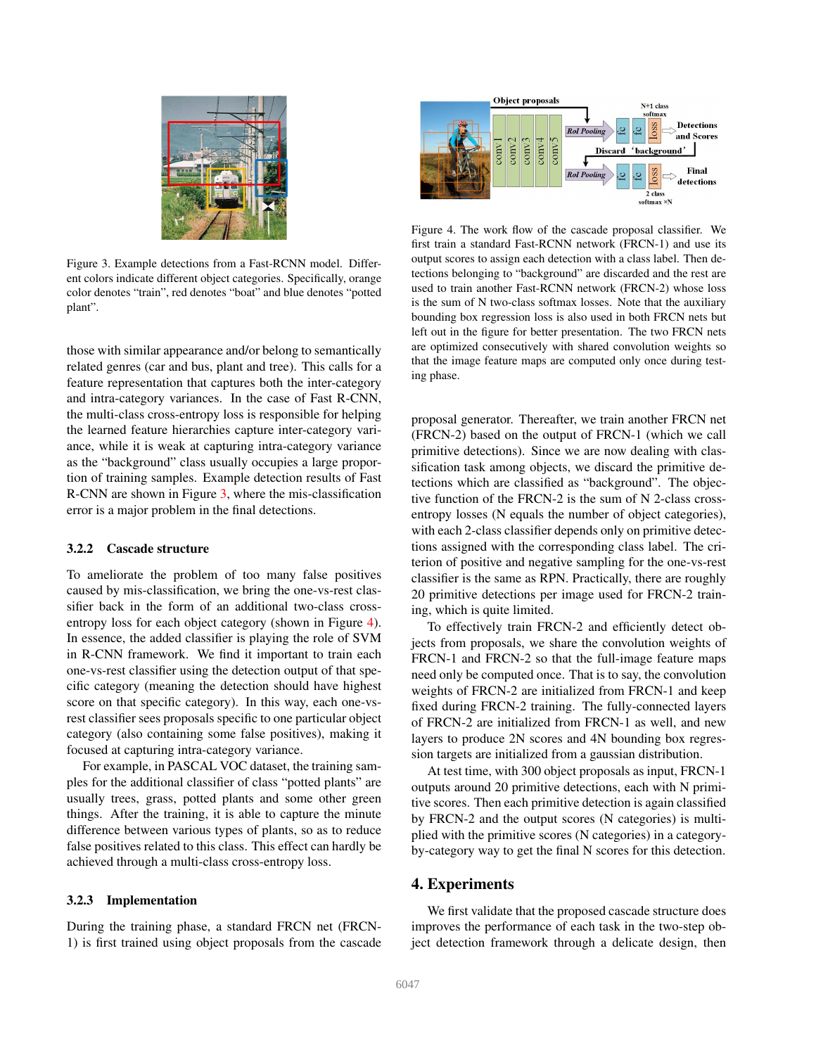

Figure 3. Example detections from a Fast-RCNN model. Different colors indicate different object categories. Specifically, orange color denotes "train", red denotes "boat" and blue denotes "potted plant".

<span id="page-4-0"></span>those with similar appearance and/or belong to semantically related genres (car and bus, plant and tree). This calls for a feature representation that captures both the inter-category and intra-category variances. In the case of Fast R-CNN, the multi-class cross-entropy loss is responsible for helping the learned feature hierarchies capture inter-category variance, while it is weak at capturing intra-category variance as the "background" class usually occupies a large proportion of training samples. Example detection results of Fast R-CNN are shown in Figure [3,](#page-4-0) where the mis-classification error is a major problem in the final detections.

#### 3.2.2 Cascade structure

To ameliorate the problem of too many false positives caused by mis-classification, we bring the one-vs-rest classifier back in the form of an additional two-class crossentropy loss for each object category (shown in Figure [4\)](#page-4-1). In essence, the added classifier is playing the role of SVM in R-CNN framework. We find it important to train each one-vs-rest classifier using the detection output of that specific category (meaning the detection should have highest score on that specific category). In this way, each one-vsrest classifier sees proposals specific to one particular object category (also containing some false positives), making it focused at capturing intra-category variance.

For example, in PASCAL VOC dataset, the training samples for the additional classifier of class "potted plants" are usually trees, grass, potted plants and some other green things. After the training, it is able to capture the minute difference between various types of plants, so as to reduce false positives related to this class. This effect can hardly be achieved through a multi-class cross-entropy loss.

## 3.2.3 Implementation

During the training phase, a standard FRCN net (FRCN-1) is first trained using object proposals from the cascade



<span id="page-4-1"></span>Figure 4. The work flow of the cascade proposal classifier. We first train a standard Fast-RCNN network (FRCN-1) and use its output scores to assign each detection with a class label. Then detections belonging to "background" are discarded and the rest are used to train another Fast-RCNN network (FRCN-2) whose loss is the sum of N two-class softmax losses. Note that the auxiliary bounding box regression loss is also used in both FRCN nets but left out in the figure for better presentation. The two FRCN nets are optimized consecutively with shared convolution weights so that the image feature maps are computed only once during testing phase.

proposal generator. Thereafter, we train another FRCN net (FRCN-2) based on the output of FRCN-1 (which we call primitive detections). Since we are now dealing with classification task among objects, we discard the primitive detections which are classified as "background". The objective function of the FRCN-2 is the sum of N 2-class crossentropy losses (N equals the number of object categories), with each 2-class classifier depends only on primitive detections assigned with the corresponding class label. The criterion of positive and negative sampling for the one-vs-rest classifier is the same as RPN. Practically, there are roughly 20 primitive detections per image used for FRCN-2 training, which is quite limited.

To effectively train FRCN-2 and efficiently detect objects from proposals, we share the convolution weights of FRCN-1 and FRCN-2 so that the full-image feature maps need only be computed once. That is to say, the convolution weights of FRCN-2 are initialized from FRCN-1 and keep fixed during FRCN-2 training. The fully-connected layers of FRCN-2 are initialized from FRCN-1 as well, and new layers to produce 2N scores and 4N bounding box regression targets are initialized from a gaussian distribution.

At test time, with 300 object proposals as input, FRCN-1 outputs around 20 primitive detections, each with N primitive scores. Then each primitive detection is again classified by FRCN-2 and the output scores (N categories) is multiplied with the primitive scores (N categories) in a categoryby-category way to get the final N scores for this detection.

## 4. Experiments

We first validate that the proposed cascade structure does improves the performance of each task in the two-step object detection framework through a delicate design, then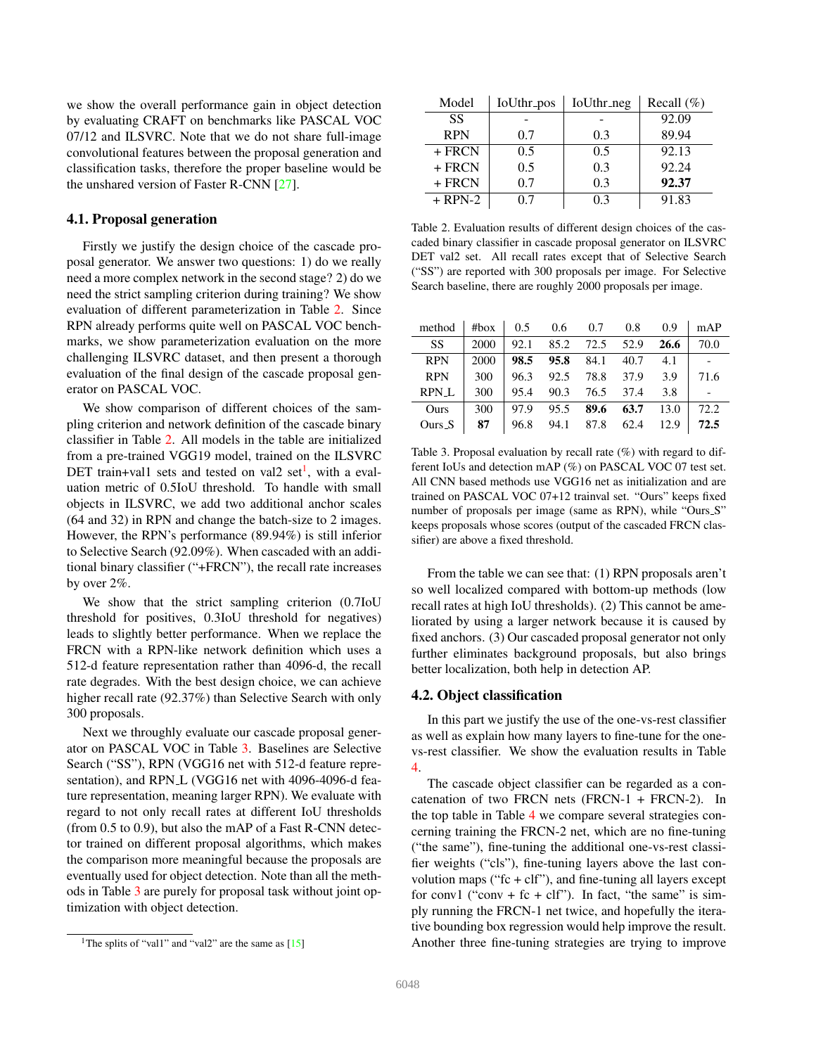<span id="page-5-3"></span>we show the overall performance gain in object detection by evaluating CRAFT on benchmarks like PASCAL VOC 07/12 and ILSVRC. Note that we do not share full-image convolutional features between the proposal generation and classification tasks, therefore the proper baseline would be the unshared version of Faster R-CNN [\[27\]](#page-8-2).

# 4.1. Proposal generation

Firstly we justify the design choice of the cascade proposal generator. We answer two questions: 1) do we really need a more complex network in the second stage? 2) do we need the strict sampling criterion during training? We show evaluation of different parameterization in Table [2.](#page-5-0) Since RPN already performs quite well on PASCAL VOC benchmarks, we show parameterization evaluation on the more challenging ILSVRC dataset, and then present a thorough evaluation of the final design of the cascade proposal generator on PASCAL VOC.

We show comparison of different choices of the sampling criterion and network definition of the cascade binary classifier in Table [2.](#page-5-0) All models in the table are initialized from a pre-trained VGG19 model, trained on the ILSVRC DET train+val[1](#page-5-1) sets and tested on val2 set<sup>1</sup>, with a evaluation metric of 0.5IoU threshold. To handle with small objects in ILSVRC, we add two additional anchor scales (64 and 32) in RPN and change the batch-size to 2 images. However, the RPN's performance (89.94%) is still inferior to Selective Search (92.09%). When cascaded with an additional binary classifier ("+FRCN"), the recall rate increases by over 2%.

We show that the strict sampling criterion (0.7IoU threshold for positives, 0.3IoU threshold for negatives) leads to slightly better performance. When we replace the FRCN with a RPN-like network definition which uses a 512-d feature representation rather than 4096-d, the recall rate degrades. With the best design choice, we can achieve higher recall rate (92.37%) than Selective Search with only 300 proposals.

Next we throughly evaluate our cascade proposal generator on PASCAL VOC in Table [3.](#page-5-2) Baselines are Selective Search ("SS"), RPN (VGG16 net with 512-d feature representation), and RPN\_L (VGG16 net with 4096-4096-d feature representation, meaning larger RPN). We evaluate with regard to not only recall rates at different IoU thresholds (from 0.5 to 0.9), but also the mAP of a Fast R-CNN detector trained on different proposal algorithms, which makes the comparison more meaningful because the proposals are eventually used for object detection. Note than all the methods in Table [3](#page-5-2) are purely for proposal task without joint optimization with object detection.

| Model      | IoUthr_pos | IoUthr_neg | Recall $(\%)$ |
|------------|------------|------------|---------------|
| SS         |            |            | 92.09         |
| <b>RPN</b> | 0.7        | 0.3        | 89.94         |
| $+$ FRCN   | 0.5        | 0.5        | 92.13         |
| $+$ FRCN   | 0.5        | 0.3        | 92.24         |
| $+$ FRCN   | 0.7        | 0.3        | 92.37         |
| $+$ RPN-2  | 07         | 0.3        | 91.83         |

<span id="page-5-0"></span>Table 2. Evaluation results of different design choices of the cascaded binary classifier in cascade proposal generator on ILSVRC DET val2 set. All recall rates except that of Selective Search ("SS") are reported with 300 proposals per image. For Selective Search baseline, there are roughly 2000 proposals per image.

| method     |      |  |                          | #box $\begin{array}{cccc} 0.5 & 0.6 & 0.7 & 0.8 & 0.9 \end{array}$ | mAP                           |
|------------|------|--|--------------------------|--------------------------------------------------------------------|-------------------------------|
| SS         | 2000 |  |                          | 92.1 85.2 72.5 52.9 <b>26.6</b>                                    | 70.0                          |
| <b>RPN</b> | 2000 |  | 98.5 95.8 84.1 40.7 4.1  |                                                                    | $\mathbb{R}$ and $\mathbb{R}$ |
| <b>RPN</b> | 300  |  | 96.3 92.5 78.8 37.9 3.9  |                                                                    | 71.6                          |
| RPN_L      | 300  |  | 95.4 90.3 76.5 37.4 3.8  |                                                                    |                               |
| Ours       |      |  |                          | $300 \mid 97.9 \mid 95.5 \mid 89.6 \mid 63.7 \mid 13.0 \mid$       | 72.2                          |
| $Ours_S$   | 87   |  | 96.8 94.1 87.8 62.4 12.9 |                                                                    | 72.5                          |

<span id="page-5-2"></span>Table 3. Proposal evaluation by recall rate (%) with regard to different IoUs and detection mAP (%) on PASCAL VOC 07 test set. All CNN based methods use VGG16 net as initialization and are trained on PASCAL VOC 07+12 trainval set. "Ours" keeps fixed number of proposals per image (same as RPN), while "Ours S" keeps proposals whose scores (output of the cascaded FRCN classifier) are above a fixed threshold.

From the table we can see that: (1) RPN proposals aren't so well localized compared with bottom-up methods (low recall rates at high IoU thresholds). (2) This cannot be ameliorated by using a larger network because it is caused by fixed anchors. (3) Our cascaded proposal generator not only further eliminates background proposals, but also brings better localization, both help in detection AP.

#### 4.2. Object classification

In this part we justify the use of the one-vs-rest classifier as well as explain how many layers to fine-tune for the onevs-rest classifier. We show the evaluation results in Table [4.](#page-6-0)

The cascade object classifier can be regarded as a concatenation of two FRCN nets (FRCN-1 + FRCN-2). In the top table in Table [4](#page-6-0) we compare several strategies concerning training the FRCN-2 net, which are no fine-tuning ("the same"), fine-tuning the additional one-vs-rest classifier weights ("cls"), fine-tuning layers above the last convolution maps (" $fc + clf$ "), and fine-tuning all layers except for conv1 ("conv + fc + clf"). In fact, "the same" is simply running the FRCN-1 net twice, and hopefully the iterative bounding box regression would help improve the result. Another three fine-tuning strategies are trying to improve

<span id="page-5-1"></span><sup>&</sup>lt;sup>1</sup>The splits of "val1" and "val2" are the same as  $[15]$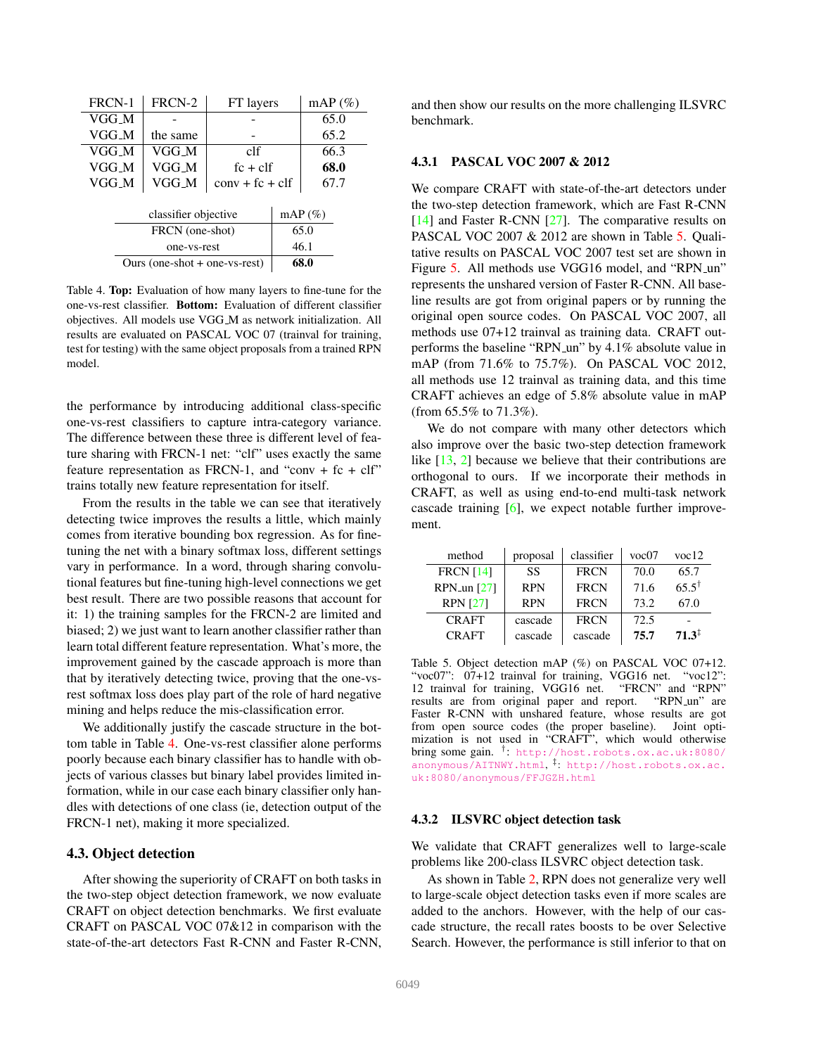<span id="page-6-2"></span>

| FRCN-1                          | FRCN-2      | FT layers         |          | $mAP(\%)$ |  |  |
|---------------------------------|-------------|-------------------|----------|-----------|--|--|
| VGG M                           |             |                   |          |           |  |  |
| VGG M                           | the same    |                   |          | 65.2      |  |  |
| VGG M                           | VGG M       | clf               |          | 66.3      |  |  |
| VGG M                           | VGG_M       |                   | $fc + c$ |           |  |  |
| VGG_M                           | VGG_M       | $conv + fc + cIf$ |          | 67.7      |  |  |
|                                 |             |                   |          |           |  |  |
| classifier objective            |             |                   |          | $mAP(\%)$ |  |  |
| FRCN (one-shot)                 |             |                   |          | 65.0      |  |  |
|                                 | one-vs-rest |                   |          | 46.1      |  |  |
| Ours (one-shot $+$ one-vs-rest) |             |                   |          | 68.0      |  |  |

<span id="page-6-0"></span>Table 4. Top: Evaluation of how many layers to fine-tune for the one-vs-rest classifier. Bottom: Evaluation of different classifier objectives. All models use VGG M as network initialization. All results are evaluated on PASCAL VOC 07 (trainval for training, test for testing) with the same object proposals from a trained RPN model.

the performance by introducing additional class-specific one-vs-rest classifiers to capture intra-category variance. The difference between these three is different level of feature sharing with FRCN-1 net: "clf" uses exactly the same feature representation as FRCN-1, and "conv + fc + clf" trains totally new feature representation for itself.

From the results in the table we can see that iteratively detecting twice improves the results a little, which mainly comes from iterative bounding box regression. As for finetuning the net with a binary softmax loss, different settings vary in performance. In a word, through sharing convolutional features but fine-tuning high-level connections we get best result. There are two possible reasons that account for it: 1) the training samples for the FRCN-2 are limited and biased; 2) we just want to learn another classifier rather than learn total different feature representation. What's more, the improvement gained by the cascade approach is more than that by iteratively detecting twice, proving that the one-vsrest softmax loss does play part of the role of hard negative mining and helps reduce the mis-classification error.

We additionally justify the cascade structure in the bottom table in Table [4.](#page-6-0) One-vs-rest classifier alone performs poorly because each binary classifier has to handle with objects of various classes but binary label provides limited information, while in our case each binary classifier only handles with detections of one class (ie, detection output of the FRCN-1 net), making it more specialized.

## 4.3. Object detection

After showing the superiority of CRAFT on both tasks in the two-step object detection framework, we now evaluate CRAFT on object detection benchmarks. We first evaluate CRAFT on PASCAL VOC 07&12 in comparison with the state-of-the-art detectors Fast R-CNN and Faster R-CNN,

and then show our results on the more challenging ILSVRC benchmark.

#### 4.3.1 PASCAL VOC 2007 & 2012

We compare CRAFT with state-of-the-art detectors under the two-step detection framework, which are Fast R-CNN [\[14\]](#page-8-1) and Faster R-CNN [\[27\]](#page-8-2). The comparative results on PASCAL VOC 2007 & 2012 are shown in Table [5.](#page-6-1) Qualitative results on PASCAL VOC 2007 test set are shown in Figure [5.](#page-7-2) All methods use VGG16 model, and "RPN\_un" represents the unshared version of Faster R-CNN. All baseline results are got from original papers or by running the original open source codes. On PASCAL VOC 2007, all methods use 07+12 trainval as training data. CRAFT outperforms the baseline "RPN\_un" by 4.1% absolute value in mAP (from 71.6% to 75.7%). On PASCAL VOC 2012, all methods use 12 trainval as training data, and this time CRAFT achieves an edge of 5.8% absolute value in mAP (from 65.5% to 71.3%).

We do not compare with many other detectors which also improve over the basic two-step detection framework like [\[13,](#page-8-30) [2\]](#page-7-1) because we believe that their contributions are orthogonal to ours. If we incorporate their methods in CRAFT, as well as using end-to-end multi-task network cascade training [\[6\]](#page-8-34), we expect notable further improvement.

| method                      | proposal   | classifier  | voc07 | voc12             |
|-----------------------------|------------|-------------|-------|-------------------|
| <b>FRCN</b> [14]            | SS         | <b>FRCN</b> | 70.0  | 65.7              |
| $RPN$ <sub>-un</sub> $[27]$ | <b>RPN</b> | <b>FRCN</b> | 71.6  | $65.5^{\dagger}$  |
| <b>RPN</b> [27]             | <b>RPN</b> | <b>FRCN</b> | 73.2  | 67.0              |
| <b>CRAFT</b>                | cascade    | <b>FRCN</b> | 72.5  |                   |
| <b>CRAFT</b>                | cascade    | cascade     | 75.7  | $71.3^{\ddagger}$ |

<span id="page-6-1"></span>Table 5. Object detection mAP (%) on PASCAL VOC 07+12. "voc07": 07+12 trainval for training, VGG16 net. "voc12": 12 trainval for training, VGG16 net. "FRCN" and "RPN" results are from original paper and report. Faster R-CNN with unshared feature, whose results are got from open source codes (the proper baseline). Joint optimization is not used in "CRAFT", which would otherwise bring some gain. † : [http://host.robots.ox.ac.uk:8080/](http://host.robots.ox.ac.uk:8080/anonymous/AITNWY.html) [anonymous/AITNWY.html](http://host.robots.ox.ac.uk:8080/anonymous/AITNWY.html), ‡ : [http://host.robots.ox.ac.](http://host.robots.ox.ac.uk:8080/anonymous/FFJGZH.html) [uk:8080/anonymous/FFJGZH.html](http://host.robots.ox.ac.uk:8080/anonymous/FFJGZH.html)

#### 4.3.2 ILSVRC object detection task

We validate that CRAFT generalizes well to large-scale problems like 200-class ILSVRC object detection task.

As shown in Table [2,](#page-5-0) RPN does not generalize very well to large-scale object detection tasks even if more scales are added to the anchors. However, with the help of our cascade structure, the recall rates boosts to be over Selective Search. However, the performance is still inferior to that on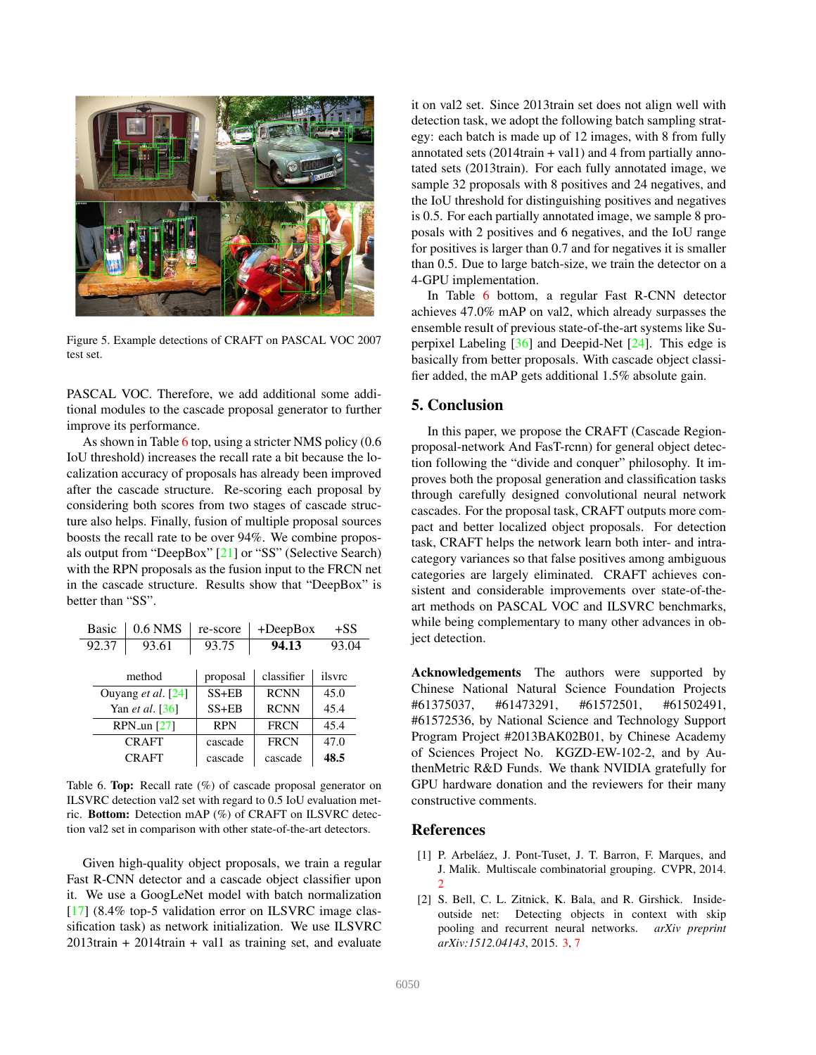<span id="page-7-4"></span>

Figure 5. Example detections of CRAFT on PASCAL VOC 2007 test set.

<span id="page-7-2"></span>PASCAL VOC. Therefore, we add additional some additional modules to the cascade proposal generator to further improve its performance.

As shown in Table [6](#page-7-3) top, using a stricter NMS policy (0.6) IoU threshold) increases the recall rate a bit because the localization accuracy of proposals has already been improved after the cascade structure. Re-scoring each proposal by considering both scores from two stages of cascade structure also helps. Finally, fusion of multiple proposal sources boosts the recall rate to be over 94%. We combine proposals output from "DeepBox" [\[21\]](#page-8-29) or "SS" (Selective Search) with the RPN proposals as the fusion input to the FRCN net in the cascade structure. Results show that "DeepBox" is better than "SS".

| <b>Basic</b>       | $0.6$ NMS<br>re-score |            | $+DeepBox$  | $+SS$  |
|--------------------|-----------------------|------------|-------------|--------|
| 92.37              | 93.61                 |            | 94.13       | 93.04  |
|                    |                       |            |             |        |
| method             |                       | proposal   | classifier  | ilsvrc |
| Ouyang et al. [24] |                       | $SS + EB$  | <b>RCNN</b> | 45.0   |
| Yan et al. [36]    |                       | $SS + EB$  | <b>RCNN</b> | 45.4   |
| RPN_un $[27]$      |                       | <b>RPN</b> | <b>FRCN</b> | 45.4   |
| <b>CRAFT</b>       |                       | cascade    | <b>FRCN</b> | 47.0   |
| <b>CRAFT</b>       |                       | cascade    | cascade     | 48.5   |

<span id="page-7-3"></span>Table 6. Top: Recall rate (%) of cascade proposal generator on ILSVRC detection val2 set with regard to 0.5 IoU evaluation metric. Bottom: Detection mAP (%) of CRAFT on ILSVRC detection val2 set in comparison with other state-of-the-art detectors.

Given high-quality object proposals, we train a regular Fast R-CNN detector and a cascade object classifier upon it. We use a GoogLeNet model with batch normalization [\[17\]](#page-8-35) (8.4% top-5 validation error on ILSVRC image classification task) as network initialization. We use ILSVRC 2013train + 2014train + val1 as training set, and evaluate it on val2 set. Since 2013train set does not align well with detection task, we adopt the following batch sampling strategy: each batch is made up of 12 images, with 8 from fully annotated sets  $(2014\text{train} + \text{val1})$  and 4 from partially annotated sets (2013train). For each fully annotated image, we sample 32 proposals with 8 positives and 24 negatives, and the IoU threshold for distinguishing positives and negatives is 0.5. For each partially annotated image, we sample 8 proposals with 2 positives and 6 negatives, and the IoU range for positives is larger than 0.7 and for negatives it is smaller than 0.5. Due to large batch-size, we train the detector on a 4-GPU implementation.

In Table [6](#page-7-3) bottom, a regular Fast R-CNN detector achieves 47.0% mAP on val2, which already surpasses the ensemble result of previous state-of-the-art systems like Superpixel Labeling  $\lceil 36 \rceil$  and Deepid-Net  $\lceil 24 \rceil$ . This edge is basically from better proposals. With cascade object classifier added, the mAP gets additional 1.5% absolute gain.

# 5. Conclusion

In this paper, we propose the CRAFT (Cascade Regionproposal-network And FasT-rcnn) for general object detection following the "divide and conquer" philosophy. It improves both the proposal generation and classification tasks through carefully designed convolutional neural network cascades. For the proposal task, CRAFT outputs more compact and better localized object proposals. For detection task, CRAFT helps the network learn both inter- and intracategory variances so that false positives among ambiguous categories are largely eliminated. CRAFT achieves consistent and considerable improvements over state-of-theart methods on PASCAL VOC and ILSVRC benchmarks, while being complementary to many other advances in object detection.

Acknowledgements The authors were supported by Chinese National Natural Science Foundation Projects #61375037, #61473291, #61572501, #61502491, #61572536, by National Science and Technology Support Program Project #2013BAK02B01, by Chinese Academy of Sciences Project No. KGZD-EW-102-2, and by AuthenMetric R&D Funds. We thank NVIDIA gratefully for GPU hardware donation and the reviewers for their many constructive comments.

# References

- <span id="page-7-0"></span>[1] P. Arbeláez, J. Pont-Tuset, J. T. Barron, F. Marques, and J. Malik. Multiscale combinatorial grouping. CVPR, 2014. [2](#page-1-0)
- <span id="page-7-1"></span>[2] S. Bell, C. L. Zitnick, K. Bala, and R. Girshick. Insideoutside net: Detecting objects in context with skip pooling and recurrent neural networks. *arXiv preprint arXiv:1512.04143*, 2015. [3,](#page-2-0) [7](#page-6-2)